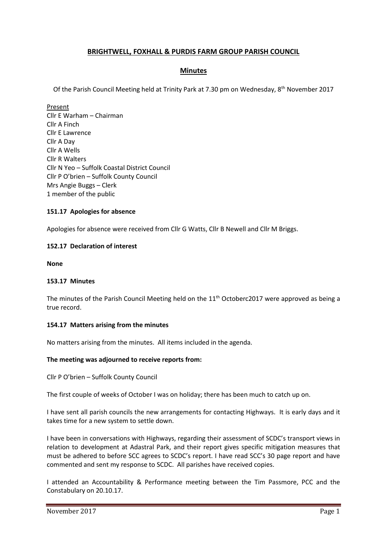# **BRIGHTWELL, FOXHALL & PURDIS FARM GROUP PARISH COUNCIL**

# **Minutes**

Of the Parish Council Meeting held at Trinity Park at 7.30 pm on Wednesday, 8<sup>th</sup> November 2017

Present Cllr E Warham – Chairman Cllr A Finch Cllr E Lawrence Cllr A Day Cllr A Wells Cllr R Walters Cllr N Yeo – Suffolk Coastal District Council Cllr P O'brien – Suffolk County Council Mrs Angie Buggs – Clerk 1 member of the public

### **151.17 Apologies for absence**

Apologies for absence were received from Cllr G Watts, Cllr B Newell and Cllr M Briggs.

### **152.17 Declaration of interest**

**None**

### **153.17 Minutes**

The minutes of the Parish Council Meeting held on the 11<sup>th</sup> Octoberc2017 were approved as being a true record.

### **154.17 Matters arising from the minutes**

No matters arising from the minutes. All items included in the agenda.

### **The meeting was adjourned to receive reports from:**

Cllr P O'brien – Suffolk County Council

The first couple of weeks of October I was on holiday; there has been much to catch up on.

I have sent all parish councils the new arrangements for contacting Highways. It is early days and it takes time for a new system to settle down.

I have been in conversations with Highways, regarding their assessment of SCDC's transport views in relation to development at Adastral Park, and their report gives specific mitigation measures that must be adhered to before SCC agrees to SCDC's report. I have read SCC's 30 page report and have commented and sent my response to SCDC. All parishes have received copies.

I attended an Accountability & Performance meeting between the Tim Passmore, PCC and the Constabulary on 20.10.17.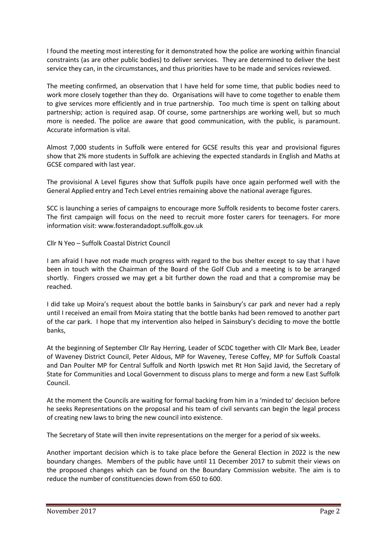I found the meeting most interesting for it demonstrated how the police are working within financial constraints (as are other public bodies) to deliver services. They are determined to deliver the best service they can, in the circumstances, and thus priorities have to be made and services reviewed.

The meeting confirmed, an observation that I have held for some time, that public bodies need to work more closely together than they do. Organisations will have to come together to enable them to give services more efficiently and in true partnership. Too much time is spent on talking about partnership; action is required asap. Of course, some partnerships are working well, but so much more is needed. The police are aware that good communication, with the public, is paramount. Accurate information is vital.

Almost 7,000 students in Suffolk were entered for GCSE results this year and provisional figures show that 2% more students in Suffolk are achieving the expected standards in English and Maths at GCSE compared with last year.

The provisional A Level figures show that Suffolk pupils have once again performed well with the General Applied entry and Tech Level entries remaining above the national average figures.

SCC is launching a series of campaigns to encourage more Suffolk residents to become foster carers. The first campaign will focus on the need to recruit more foster carers for teenagers. For more information visit: [www.fosterandadopt.suffolk.gov.uk](http://www.fosterandadopt.suffolk.gov.uk/)

Cllr N Yeo – Suffolk Coastal District Council

I am afraid I have not made much progress with regard to the bus shelter except to say that I have been in touch with the Chairman of the Board of the Golf Club and a meeting is to be arranged shortly. Fingers crossed we may get a bit further down the road and that a compromise may be reached.

I did take up Moira's request about the bottle banks in Sainsbury's car park and never had a reply until I received an email from Moira stating that the bottle banks had been removed to another part of the car park. I hope that my intervention also helped in Sainsbury's deciding to move the bottle banks,

At the beginning of September Cllr Ray Herring, Leader of SCDC together with Cllr Mark Bee, Leader of Waveney District Council, Peter Aldous, MP for Waveney, Terese Coffey, MP for Suffolk Coastal and Dan Poulter MP for Central Suffolk and North Ipswich met Rt Hon Sajid Javid, the Secretary of State for Communities and Local Government to discuss plans to merge and form a new East Suffolk Council.

At the moment the Councils are waiting for formal backing from him in a 'minded to' decision before he seeks Representations on the proposal and his team of civil servants can begin the legal process of creating new laws to bring the new council into existence.

The Secretary of State will then invite representations on the merger for a period of six weeks.

Another important decision which is to take place before the General Election in 2022 is the new boundary changes. Members of the public have until 11 December 2017 to submit their views on the proposed changes which can be found on the Boundary Commission website. The aim is to reduce the number of constituencies down from 650 to 600.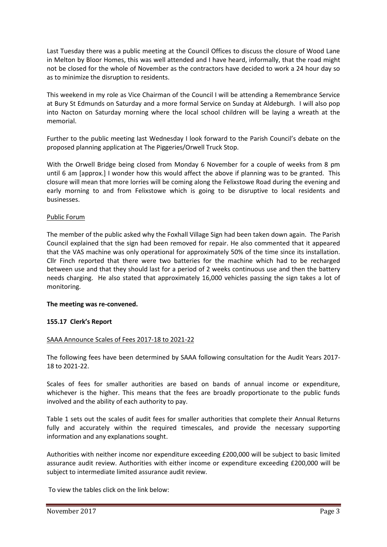Last Tuesday there was a public meeting at the Council Offices to discuss the closure of Wood Lane in Melton by Bloor Homes, this was well attended and I have heard, informally, that the road might not be closed for the whole of November as the contractors have decided to work a 24 hour day so as to minimize the disruption to residents.

This weekend in my role as Vice Chairman of the Council I will be attending a Remembrance Service at Bury St Edmunds on Saturday and a more formal Service on Sunday at Aldeburgh. I will also pop into Nacton on Saturday morning where the local school children will be laying a wreath at the memorial.

Further to the public meeting last Wednesday I look forward to the Parish Council's debate on the proposed planning application at The Piggeries/Orwell Truck Stop.

With the Orwell Bridge being closed from Monday 6 November for a couple of weeks from 8 pm until 6 am [approx.] I wonder how this would affect the above if planning was to be granted. This closure will mean that more lorries will be coming along the Felixstowe Road during the evening and early morning to and from Felixstowe which is going to be disruptive to local residents and businesses.

## Public Forum

The member of the public asked why the Foxhall Village Sign had been taken down again. The Parish Council explained that the sign had been removed for repair. He also commented that it appeared that the VAS machine was only operational for approximately 50% of the time since its installation. Cllr Finch reported that there were two batteries for the machine which had to be recharged between use and that they should last for a period of 2 weeks continuous use and then the battery needs charging. He also stated that approximately 16,000 vehicles passing the sign takes a lot of monitoring.

### **The meeting was re-convened.**

# **155.17 Clerk's Report**

### SAAA Announce Scales of Fees 2017-18 to 2021-22

The following fees have been determined by SAAA following consultation for the Audit Years 2017- 18 to 2021-22.

Scales of fees for smaller authorities are based on bands of annual income or expenditure, whichever is the higher. This means that the fees are broadly proportionate to the public funds involved and the ability of each authority to pay.

Table 1 sets out the scales of audit fees for smaller authorities that complete their Annual Returns fully and accurately within the required timescales, and provide the necessary supporting information and any explanations sought.

Authorities with neither income nor expenditure exceeding £200,000 will be subject to basic limited assurance audit review. Authorities with either income or expenditure exceeding £200,000 will be subject to intermediate limited assurance audit review.

To view the tables click on the link below: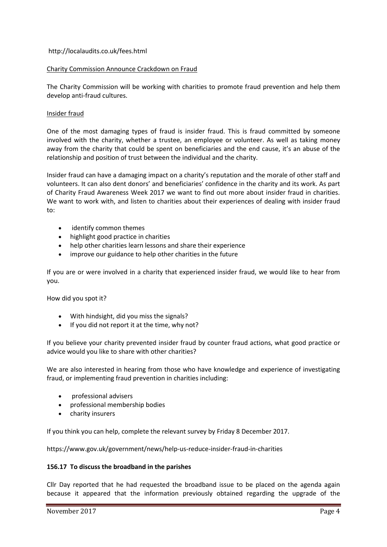### <http://localaudits.co.uk/fees.html>

### Charity Commission Announce Crackdown on Fraud

The Charity Commission will be working with charities to promote fraud prevention and help them develop anti-fraud cultures.

## Insider fraud

One of the most damaging types of fraud is insider fraud. This is fraud committed by someone involved with the charity, whether a trustee, an employee or volunteer. As well as taking money away from the charity that could be spent on beneficiaries and the end cause, it's an abuse of the relationship and position of trust between the individual and the charity.

Insider fraud can have a damaging impact on a charity's reputation and the morale of other staff and volunteers. It can also dent donors' and beneficiaries' confidence in the charity and its work. As part of Charity Fraud Awareness Week 2017 we want to find out more about insider fraud in charities. We want to work with, and listen to charities about their experiences of dealing with insider fraud to:

- identify common themes
- highlight good practice in charities
- help other charities learn lessons and share their experience
- improve our guidance to help other charities in the future

If you are or were involved in a charity that experienced insider fraud, we would like to hear from you.

How did you spot it?

- With hindsight, did you miss the signals?
- If you did not report it at the time, why not?

If you believe your charity prevented insider fraud by counter fraud actions, what good practice or advice would you like to share with other charities?

We are also interested in hearing from those who have knowledge and experience of investigating fraud, or implementing fraud prevention in charities including:

- professional advisers
- professional membership bodies
- charity insurers

If you think you can help, complete the relevant survey by Friday 8 December 2017.

<https://www.gov.uk/government/news/help-us-reduce-insider-fraud-in-charities>

### **156.17 To discuss the broadband in the parishes**

Cllr Day reported that he had requested the broadband issue to be placed on the agenda again because it appeared that the information previously obtained regarding the upgrade of the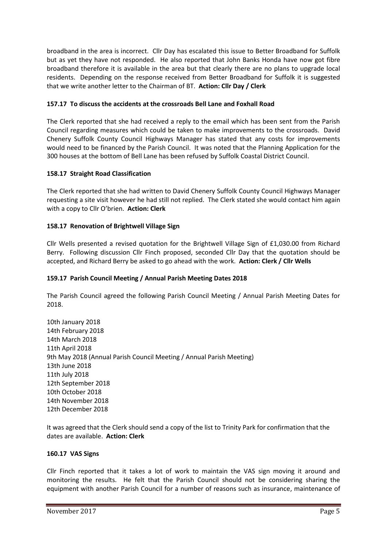broadband in the area is incorrect. Cllr Day has escalated this issue to Better Broadband for Suffolk but as yet they have not responded. He also reported that John Banks Honda have now got fibre broadband therefore it is available in the area but that clearly there are no plans to upgrade local residents. Depending on the response received from Better Broadband for Suffolk it is suggested that we write another letter to the Chairman of BT. **Action: Cllr Day / Clerk**

# **157.17 To discuss the accidents at the crossroads Bell Lane and Foxhall Road**

The Clerk reported that she had received a reply to the email which has been sent from the Parish Council regarding measures which could be taken to make improvements to the crossroads. David Chenery Suffolk County Council Highways Manager has stated that any costs for improvements would need to be financed by the Parish Council. It was noted that the Planning Application for the 300 houses at the bottom of Bell Lane has been refused by Suffolk Coastal District Council.

# **158.17 Straight Road Classification**

The Clerk reported that she had written to David Chenery Suffolk County Council Highways Manager requesting a site visit however he had still not replied. The Clerk stated she would contact him again with a copy to Cllr O'brien. **Action: Clerk**

# **158.17 Renovation of Brightwell Village Sign**

Cllr Wells presented a revised quotation for the Brightwell Village Sign of £1,030.00 from Richard Berry. Following discussion Cllr Finch proposed, seconded Cllr Day that the quotation should be accepted, and Richard Berry be asked to go ahead with the work. **Action: Clerk / Cllr Wells**

# **159.17 Parish Council Meeting / Annual Parish Meeting Dates 2018**

The Parish Council agreed the following Parish Council Meeting / Annual Parish Meeting Dates for 2018.

10th January 2018 14th February 2018 14th March 2018 11th April 2018 9th May 2018 (Annual Parish Council Meeting / Annual Parish Meeting) 13th June 2018 11th July 2018 12th September 2018 10th October 2018 14th November 2018 12th December 2018

It was agreed that the Clerk should send a copy of the list to Trinity Park for confirmation that the dates are available. **Action: Clerk**

# **160.17 VAS Signs**

Cllr Finch reported that it takes a lot of work to maintain the VAS sign moving it around and monitoring the results. He felt that the Parish Council should not be considering sharing the equipment with another Parish Council for a number of reasons such as insurance, maintenance of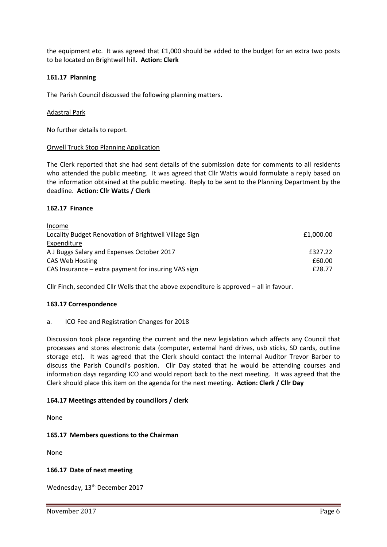the equipment etc. It was agreed that £1,000 should be added to the budget for an extra two posts to be located on Brightwell hill. **Action: Clerk**

### **161.17 Planning**

The Parish Council discussed the following planning matters.

### Adastral Park

No further details to report.

#### Orwell Truck Stop Planning Application

The Clerk reported that she had sent details of the submission date for comments to all residents who attended the public meeting. It was agreed that Cllr Watts would formulate a reply based on the information obtained at the public meeting. Reply to be sent to the Planning Department by the deadline. **Action: Cllr Watts / Clerk**

#### **162.17 Finance**

| Income                                                |           |
|-------------------------------------------------------|-----------|
| Locality Budget Renovation of Brightwell Village Sign | £1,000.00 |
| Expenditure                                           |           |
| A J Buggs Salary and Expenses October 2017            | £327.22   |
| CAS Web Hosting                                       | £60.00    |
| CAS Insurance – extra payment for insuring VAS sign   | £28.77    |

Cllr Finch, seconded Cllr Wells that the above expenditure is approved – all in favour.

### **163.17 Correspondence**

### a. ICO Fee and Registration Changes for 2018

Discussion took place regarding the current and the new legislation which affects any Council that processes and stores electronic data (computer, external hard drives, usb sticks, SD cards, outline storage etc). It was agreed that the Clerk should contact the Internal Auditor Trevor Barber to discuss the Parish Council's position. Cllr Day stated that he would be attending courses and information days regarding ICO and would report back to the next meeting. It was agreed that the Clerk should place this item on the agenda for the next meeting. **Action: Clerk / Cllr Day**

### **164.17 Meetings attended by councillors / clerk**

None

### **165.17 Members questions to the Chairman**

None

### **166.17 Date of next meeting**

Wednesday, 13<sup>th</sup> December 2017